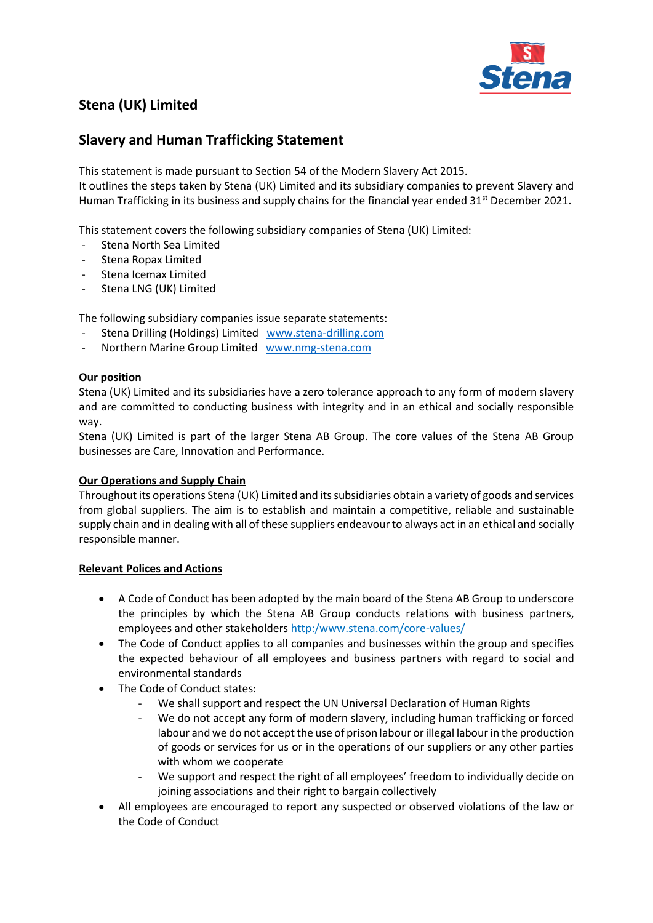

# **Stena (UK) Limited**

## **Slavery and Human Trafficking Statement**

This statement is made pursuant to Section 54 of the Modern Slavery Act 2015. It outlines the steps taken by Stena (UK) Limited and its subsidiary companies to prevent Slavery and Human Trafficking in its business and supply chains for the financial year ended 31<sup>st</sup> December 2021.

This statement covers the following subsidiary companies of Stena (UK) Limited:

- Stena North Sea Limited
- Stena Ropax Limited
- Stena Icemax Limited
- Stena LNG (UK) Limited

The following subsidiary companies issue separate statements:

- Stena Drilling (Holdings) Limited [www.stena-drilling.com](http://www.stena-drilling.com/)
- Northern Marine Group Limited [www.nmg-stena.com](http://www.nmg-stena.com/)

### **Our position**

Stena (UK) Limited and its subsidiaries have a zero tolerance approach to any form of modern slavery and are committed to conducting business with integrity and in an ethical and socially responsible way.

Stena (UK) Limited is part of the larger Stena AB Group. The core values of the Stena AB Group businesses are Care, Innovation and Performance.

#### **Our Operations and Supply Chain**

Throughout its operations Stena (UK) Limited and its subsidiaries obtain a variety of goods and services from global suppliers. The aim is to establish and maintain a competitive, reliable and sustainable supply chain and in dealing with all of these suppliers endeavour to always act in an ethical and socially responsible manner.

#### **Relevant Polices and Actions**

- A Code of Conduct has been adopted by the main board of the Stena AB Group to underscore the principles by which the Stena AB Group conducts relations with business partners, employees and other stakeholders http:/www.stena.com/core-values/
- The Code of Conduct applies to all companies and businesses within the group and specifies the expected behaviour of all employees and business partners with regard to social and environmental standards
- The Code of Conduct states:
	- We shall support and respect the UN Universal Declaration of Human Rights
	- We do not accept any form of modern slavery, including human trafficking or forced labour and we do not accept the use of prison labour or illegal labour in the production of goods or services for us or in the operations of our suppliers or any other parties with whom we cooperate
	- We support and respect the right of all employees' freedom to individually decide on joining associations and their right to bargain collectively
- All employees are encouraged to report any suspected or observed violations of the law or the Code of Conduct